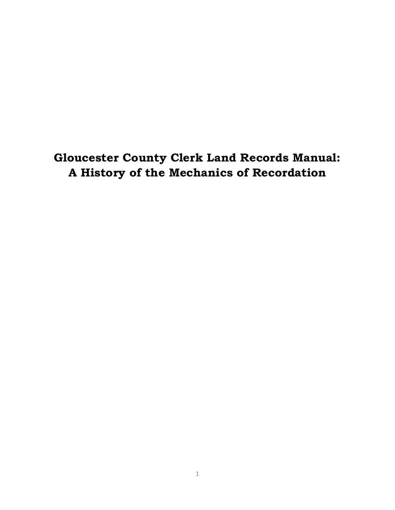# **Gloucester County Clerk Land Records Manual: A History of the Mechanics of Recordation**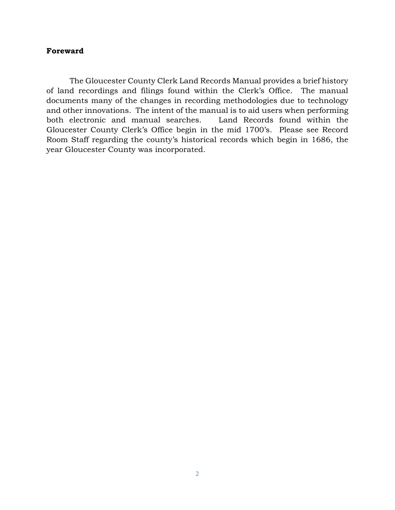### **Foreward**

The Gloucester County Clerk Land Records Manual provides a brief history of land recordings and filings found within the Clerk's Office. The manual documents many of the changes in recording methodologies due to technology and other innovations. The intent of the manual is to aid users when performing both electronic and manual searches. Land Records found within the Gloucester County Clerk's Office begin in the mid 1700's. Please see Record Room Staff regarding the county's historical records which begin in 1686, the year Gloucester County was incorporated.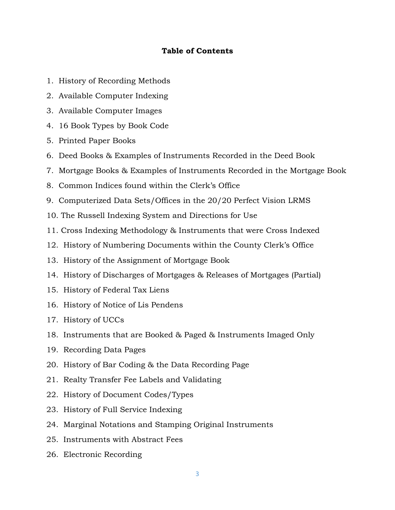### **Table of Contents**

- 1. History of Recording Methods
- 2. Available Computer Indexing
- 3. Available Computer Images
- 4. 16 Book Types by Book Code
- 5. Printed Paper Books
- 6. Deed Books & Examples of Instruments Recorded in the Deed Book
- 7. Mortgage Books & Examples of Instruments Recorded in the Mortgage Book
- 8. Common Indices found within the Clerk's Office
- 9. Computerized Data Sets/Offices in the 20/20 Perfect Vision LRMS
- 10. The Russell Indexing System and Directions for Use
- 11. Cross Indexing Methodology & Instruments that were Cross Indexed
- 12. History of Numbering Documents within the County Clerk's Office
- 13. History of the Assignment of Mortgage Book
- 14. History of Discharges of Mortgages & Releases of Mortgages (Partial)
- 15. History of Federal Tax Liens
- 16. History of Notice of Lis Pendens
- 17. History of UCCs
- 18. Instruments that are Booked & Paged & Instruments Imaged Only
- 19. Recording Data Pages
- 20. History of Bar Coding & the Data Recording Page
- 21. Realty Transfer Fee Labels and Validating
- 22. History of Document Codes/Types
- 23. History of Full Service Indexing
- 24. Marginal Notations and Stamping Original Instruments
- 25. Instruments with Abstract Fees
- 26. Electronic Recording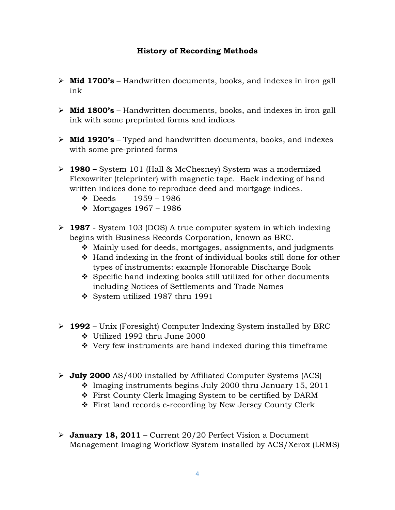### **History of Recording Methods**

- ➢ **Mid 1700's** Handwritten documents, books, and indexes in iron gall ink
- ➢ **Mid 1800's** Handwritten documents, books, and indexes in iron gall ink with some preprinted forms and indices
- ➢ **Mid 1920's** Typed and handwritten documents, books, and indexes with some pre-printed forms
- ➢ **1980 –** System 101 (Hall & McChesney) System was a modernized Flexowriter (teleprinter) with magnetic tape. Back indexing of hand written indices done to reproduce deed and mortgage indices.
	- ❖ Deeds 1959 1986
	- $\div$  Mortgages 1967 1986
- ➢ **1987**  System 103 (DOS) A true computer system in which indexing begins with Business Records Corporation, known as BRC.
	- ❖ Mainly used for deeds, mortgages, assignments, and judgments
	- ❖ Hand indexing in the front of individual books still done for other types of instruments: example Honorable Discharge Book
	- ❖ Specific hand indexing books still utilized for other documents including Notices of Settlements and Trade Names
	- ❖ System utilized 1987 thru 1991
- ➢ **1992**  Unix (Foresight) Computer Indexing System installed by BRC
	- ❖ Utilized 1992 thru June 2000
	- ❖ Very few instruments are hand indexed during this timeframe
- ➢ **July 2000** AS/400 installed by Affiliated Computer Systems (ACS)
	- ❖ Imaging instruments begins July 2000 thru January 15, 2011
	- ❖ First County Clerk Imaging System to be certified by DARM
	- ❖ First land records e-recording by New Jersey County Clerk
- ➢ **January 18, 2011** Current 20/20 Perfect Vision a Document Management Imaging Workflow System installed by ACS/Xerox (LRMS)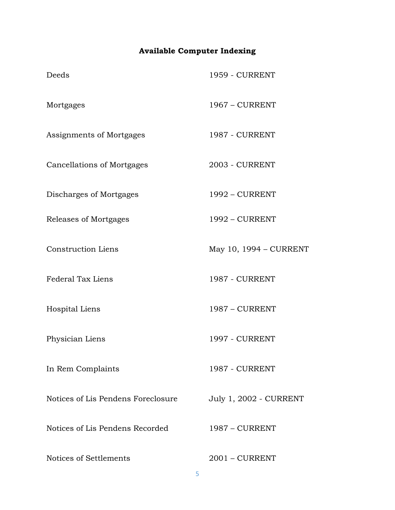# **Available Computer Indexing**

| Deeds                              | <b>1959 - CURRENT</b>         |
|------------------------------------|-------------------------------|
| Mortgages                          | 1967 - CURRENT                |
| Assignments of Mortgages           | <b>1987 - CURRENT</b>         |
| <b>Cancellations of Mortgages</b>  | <b>2003 - CURRENT</b>         |
| Discharges of Mortgages            | 1992 - CURRENT                |
| Releases of Mortgages              | 1992 - CURRENT                |
| <b>Construction Liens</b>          | May 10, 1994 - CURRENT        |
| Federal Tax Liens                  | <b>1987 - CURRENT</b>         |
| Hospital Liens                     | 1987 - CURRENT                |
| Physician Liens                    | <b>1997 - CURRENT</b>         |
| In Rem Complaints                  | <b>1987 - CURRENT</b>         |
| Notices of Lis Pendens Foreclosure | <b>July 1, 2002 - CURRENT</b> |
| Notices of Lis Pendens Recorded    | 1987 - CURRENT                |
| Notices of Settlements             | $2001 - CURRENT$              |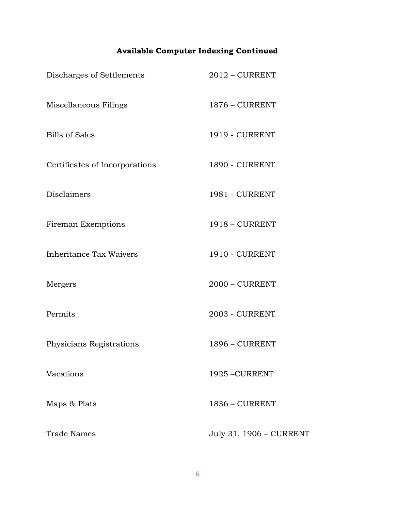# **Available Computer Indexing Continued**

| Discharges of Settlements      | $2012$ – CURRENT        |
|--------------------------------|-------------------------|
| Miscellaneous Filings          | 1876 - CURRENT          |
| <b>Bills of Sales</b>          | <b>1919 - CURRENT</b>   |
| Certificates of Incorporations | <b>1890 - CURRENT</b>   |
| <b>Disclaimers</b>             | <b>1981 - CURRENT</b>   |
| Fireman Exemptions             | 1918 - CURRENT          |
| <b>Inheritance Tax Waivers</b> | <b>1910 - CURRENT</b>   |
| Mergers                        | $2000 - CURRENT$        |
| Permits                        | <b>2003 - CURRENT</b>   |
| Physicians Registrations       | 1896 - CURRENT          |
| Vacations                      | 1925 - CURRENT          |
| Maps & Plats                   | 1836 - CURRENT          |
| <b>Trade Names</b>             | July 31, 1906 - CURRENT |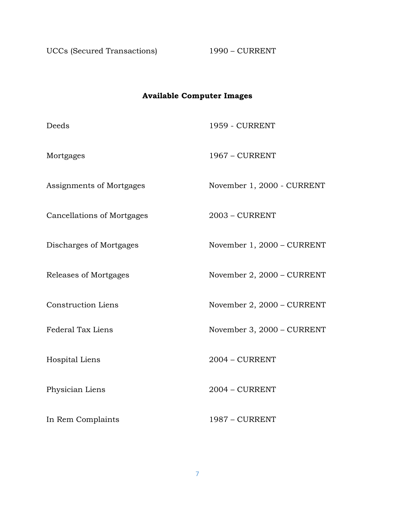UCCs (Secured Transactions) 1990 – CURRENT

# **Available Computer Images**

| Deeds                             | <b>1959 - CURRENT</b>      |
|-----------------------------------|----------------------------|
| Mortgages                         | 1967 - CURRENT             |
| Assignments of Mortgages          | November 1, 2000 - CURRENT |
| <b>Cancellations of Mortgages</b> | $2003$ – CURRENT           |
| Discharges of Mortgages           | November 1, 2000 - CURRENT |
| Releases of Mortgages             | November 2, 2000 - CURRENT |
| <b>Construction Liens</b>         | November 2, 2000 - CURRENT |
| Federal Tax Liens                 | November 3, 2000 - CURRENT |
| Hospital Liens                    | 2004 - CURRENT             |
| Physician Liens                   | $2004 - CURRENT$           |
| In Rem Complaints                 | 1987 - CURRENT             |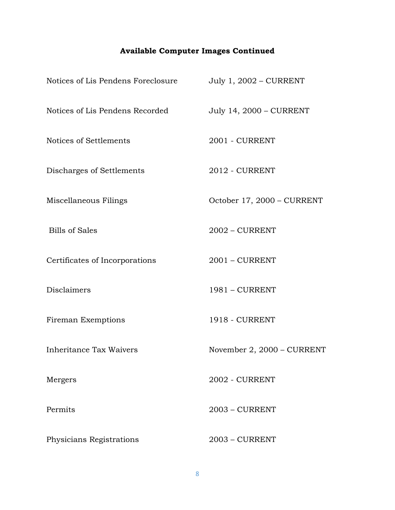# **Available Computer Images Continued**

| Notices of Lis Pendens Foreclosure | July 1, 2002 - CURRENT     |
|------------------------------------|----------------------------|
| Notices of Lis Pendens Recorded    | July 14, 2000 - CURRENT    |
| Notices of Settlements             | 2001 - CURRENT             |
| Discharges of Settlements          | 2012 - CURRENT             |
| Miscellaneous Filings              | October 17, 2000 - CURRENT |
| <b>Bills of Sales</b>              | $2002$ – CURRENT           |
| Certificates of Incorporations     | $2001 - CURRENT$           |
| Disclaimers                        | 1981 - CURRENT             |
| Fireman Exemptions                 | <b>1918 - CURRENT</b>      |
| Inheritance Tax Waivers            | November 2, 2000 - CURRENT |
| Mergers                            | <b>2002 - CURRENT</b>      |
| Permits                            | $2003$ – CURRENT           |
| Physicians Registrations           | $2003$ – CURRENT           |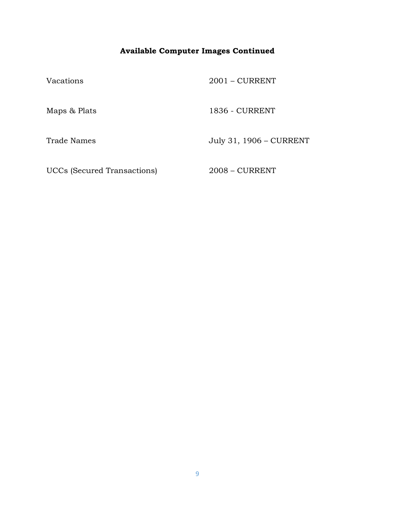# **Available Computer Images Continued**

| Vacations                   | $2001 - CURRENT$        |
|-----------------------------|-------------------------|
| Maps & Plats                | 1836 - CURRENT          |
| <b>Trade Names</b>          | July 31, 1906 - CURRENT |
| UCCs (Secured Transactions) | $2008 - CURRENT$        |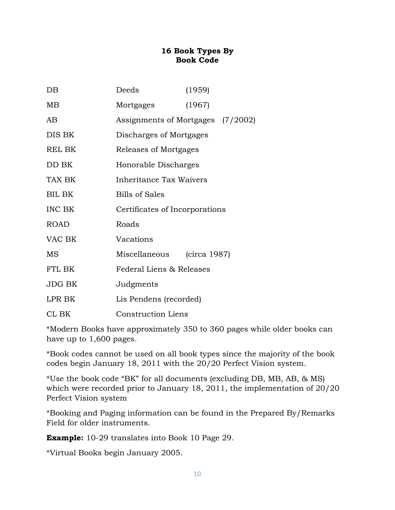### **16 Book Types By Book Code**

| $DB$          | Deeds                          | (1959)                            |
|---------------|--------------------------------|-----------------------------------|
| MB            | Mortgages                      | (1967)                            |
| AB            |                                | Assignments of Mortgages (7/2002) |
| DIS BK        | Discharges of Mortgages        |                                   |
| <b>REL BK</b> | Releases of Mortgages          |                                   |
| DD BK         | Honorable Discharges           |                                   |
| TAX BK        | Inheritance Tax Waivers        |                                   |
| BIL BK        | <b>Bills of Sales</b>          |                                   |
| INC BK        | Certificates of Incorporations |                                   |
| <b>ROAD</b>   | Roads                          |                                   |
| VAC BK        | Vacations                      |                                   |
| MS            | Miscellaneous                  | (circa 1987)                      |
| FTL BK        | Federal Liens & Releases       |                                   |
| JDG BK        | Judgments                      |                                   |
| LPR BK        | Lis Pendens (recorded)         |                                   |
| CL BK         | <b>Construction Liens</b>      |                                   |

\*Modern Books have approximately 350 to 360 pages while older books can have up to 1,600 pages.

\*Book codes cannot be used on all book types since the majority of the book codes begin January 18, 2011 with the 20/20 Perfect Vision system.

\*Use the book code "BK" for all documents (excluding DB, MB, AB, & MS) which were recorded prior to January 18, 2011, the implementation of 20/20 Perfect Vision system

\*Booking and Paging information can be found in the Prepared By/Remarks Field for older instruments.

**Example:** 10-29 translates into Book 10 Page 29.

\*Virtual Books begin January 2005.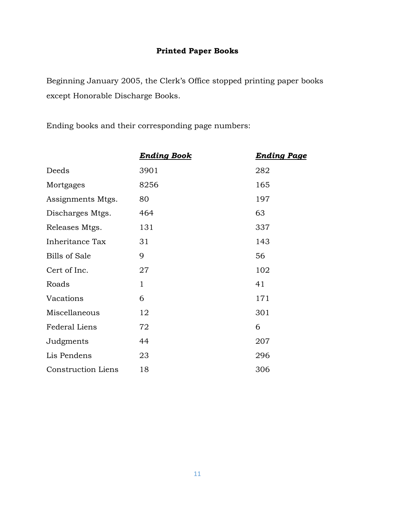# **Printed Paper Books**

Beginning January 2005, the Clerk's Office stopped printing paper books except Honorable Discharge Books.

Ending books and their corresponding page numbers:

|                           | <b>Ending Book</b> | <b>Ending Page</b> |
|---------------------------|--------------------|--------------------|
| Deeds                     | 3901               | 282                |
| Mortgages                 | 8256               | 165                |
| Assignments Mtgs.         | 80                 | 197                |
| Discharges Mtgs.          | 464                | 63                 |
| Releases Mtgs.            | 131                | 337                |
| Inheritance Tax           | 31                 | 143                |
| <b>Bills of Sale</b>      | 9                  | 56                 |
| Cert of Inc.              | 27                 | 102                |
| Roads                     | $\mathbf{1}$       | 41                 |
| Vacations                 | 6                  | 171                |
| Miscellaneous             | 12                 | 301                |
| <b>Federal Liens</b>      | 72                 | 6                  |
| Judgments                 | 44                 | 207                |
| Lis Pendens               | 23                 | 296                |
| <b>Construction Liens</b> | 18                 | 306                |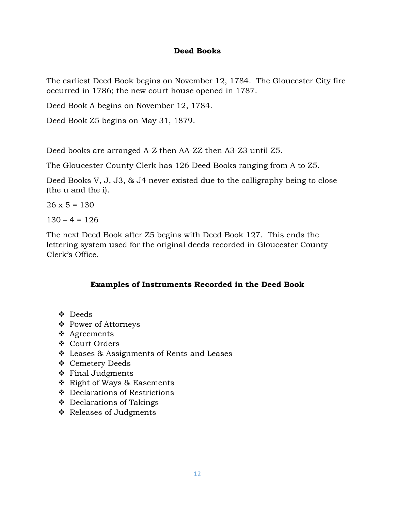### **Deed Books**

The earliest Deed Book begins on November 12, 1784. The Gloucester City fire occurred in 1786; the new court house opened in 1787.

Deed Book A begins on November 12, 1784.

Deed Book Z5 begins on May 31, 1879.

Deed books are arranged A-Z then AA-ZZ then A3-Z3 until Z5.

The Gloucester County Clerk has 126 Deed Books ranging from A to Z5.

Deed Books V, J, J3, & J4 never existed due to the calligraphy being to close (the u and the i).

 $26 \times 5 = 130$ 

 $130 - 4 = 126$ 

The next Deed Book after Z5 begins with Deed Book 127. This ends the lettering system used for the original deeds recorded in Gloucester County Clerk's Office.

### **Examples of Instruments Recorded in the Deed Book**

- ❖ Deeds
- ❖ Power of Attorneys
- ❖ Agreements
- ❖ Court Orders
- ❖ Leases & Assignments of Rents and Leases
- ❖ Cemetery Deeds
- ❖ Final Judgments
- ❖ Right of Ways & Easements
- ❖ Declarations of Restrictions
- ❖ Declarations of Takings
- ❖ Releases of Judgments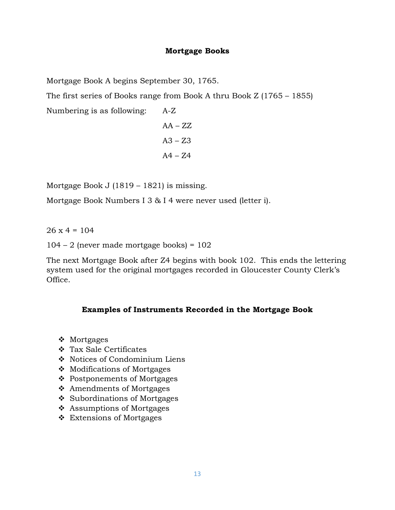### **Mortgage Books**

Mortgage Book A begins September 30, 1765.

The first series of Books range from Book A thru Book Z (1765 – 1855)

Numbering is as following: A-Z

$$
AA - ZZ
$$
  

$$
A3 - Z3
$$
  

$$
A4 - Z4
$$

Mortgage Book J (1819 – 1821) is missing.

Mortgage Book Numbers I 3 & I 4 were never used (letter i).

 $26 \times 4 = 104$ 

 $104 - 2$  (never made mortgage books) =  $102$ 

The next Mortgage Book after Z4 begins with book 102. This ends the lettering system used for the original mortgages recorded in Gloucester County Clerk's Office.

### **Examples of Instruments Recorded in the Mortgage Book**

- ❖ Mortgages
- ❖ Tax Sale Certificates
- ❖ Notices of Condominium Liens
- ❖ Modifications of Mortgages
- ❖ Postponements of Mortgages
- ❖ Amendments of Mortgages
- ❖ Subordinations of Mortgages
- ❖ Assumptions of Mortgages
- ❖ Extensions of Mortgages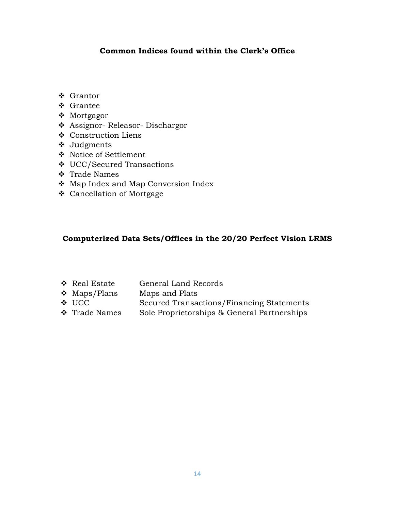## **Common Indices found within the Clerk's Office**

- ❖ Grantor
- ❖ Grantee
- ❖ Mortgagor
- ❖ Assignor- Releasor- Dischargor
- ❖ Construction Liens
- ❖ Judgments
- ❖ Notice of Settlement
- ❖ UCC/Secured Transactions
- ❖ Trade Names
- ❖ Map Index and Map Conversion Index
- ❖ Cancellation of Mortgage

## **Computerized Data Sets/Offices in the 20/20 Perfect Vision LRMS**

| ❖ Real Estate     | General Land Records                        |
|-------------------|---------------------------------------------|
| $\div$ Maps/Plans | Maps and Plats                              |
| $\div$ UCC        | Secured Transactions/Financing Statements   |
| ❖ Trade Names     | Sole Proprietorships & General Partnerships |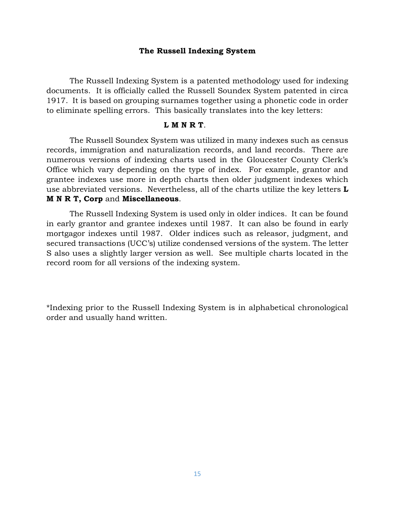#### **The Russell Indexing System**

The Russell Indexing System is a patented methodology used for indexing documents. It is officially called the Russell Soundex System patented in circa 1917. It is based on grouping surnames together using a phonetic code in order to eliminate spelling errors. This basically translates into the key letters:

#### **L M N R T**.

The Russell Soundex System was utilized in many indexes such as census records, immigration and naturalization records, and land records. There are numerous versions of indexing charts used in the Gloucester County Clerk's Office which vary depending on the type of index. For example, grantor and grantee indexes use more in depth charts then older judgment indexes which use abbreviated versions. Nevertheless, all of the charts utilize the key letters **L M N R T, Corp** and **Miscellaneous**.

The Russell Indexing System is used only in older indices. It can be found in early grantor and grantee indexes until 1987. It can also be found in early mortgagor indexes until 1987. Older indices such as releasor, judgment, and secured transactions (UCC's) utilize condensed versions of the system. The letter S also uses a slightly larger version as well. See multiple charts located in the record room for all versions of the indexing system.

\*Indexing prior to the Russell Indexing System is in alphabetical chronological order and usually hand written.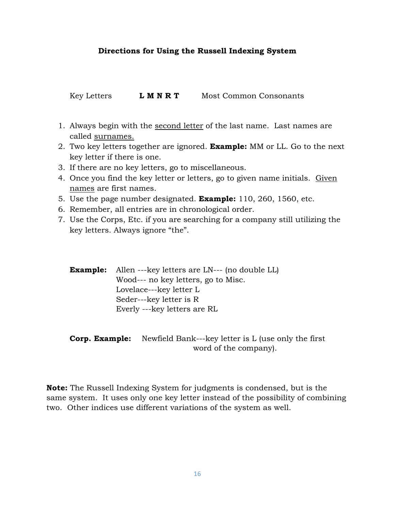### **Directions for Using the Russell Indexing System**

Key Letters **L M N R T** Most Common Consonants

- 1. Always begin with the second letter of the last name. Last names are called surnames.
- 2. Two key letters together are ignored. **Example:** MM or LL. Go to the next key letter if there is one.
- 3. If there are no key letters, go to miscellaneous.
- 4. Once you find the key letter or letters, go to given name initials. Given names are first names.
- 5. Use the page number designated. **Example:** 110, 260, 1560, etc.
- 6. Remember, all entries are in chronological order.
- 7. Use the Corps, Etc. if you are searching for a company still utilizing the key letters. Always ignore "the".

| <b>Example:</b> Allen ---key letters are LN--- (no double LL) |                                     |  |
|---------------------------------------------------------------|-------------------------------------|--|
|                                                               | Wood--- no key letters, go to Misc. |  |
|                                                               | Lovelace---key letter L             |  |
|                                                               | Seder---key letter is R             |  |
|                                                               | Everly ---key letters are RL        |  |

**Corp. Example:** Newfield Bank---key letter is L (use only the first word of the company).

**Note:** The Russell Indexing System for judgments is condensed, but is the same system. It uses only one key letter instead of the possibility of combining two. Other indices use different variations of the system as well.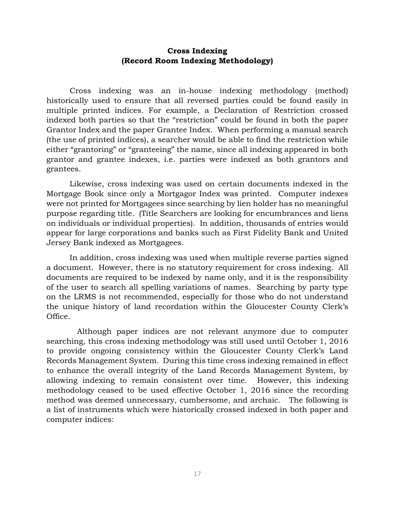### **Cross Indexing (Record Room Indexing Methodology)**

Cross indexing was an in-house indexing methodology (method) historically used to ensure that all reversed parties could be found easily in multiple printed indices. For example, a Declaration of Restriction crossed indexed both parties so that the "restriction" could be found in both the paper Grantor Index and the paper Grantee Index. When performing a manual search (the use of printed indices), a searcher would be able to find the restriction while either "grantoring" or "granteeing" the name, since all indexing appeared in both grantor and grantee indexes, i.e. parties were indexed as both grantors and grantees.

Likewise, cross indexing was used on certain documents indexed in the Mortgage Book since only a Mortgagor Index was printed. Computer indexes were not printed for Mortgagees since searching by lien holder has no meaningful purpose regarding title. (Title Searchers are looking for encumbrances and liens on individuals or individual properties). In addition, thousands of entries would appear for large corporations and banks such as First Fidelity Bank and United Jersey Bank indexed as Mortgagees.

In addition, cross indexing was used when multiple reverse parties signed a document. However, there is no statutory requirement for cross indexing. All documents are required to be indexed by name only, and it is the responsibility of the user to search all spelling variations of names. Searching by party type on the LRMS is not recommended, especially for those who do not understand the unique history of land recordation within the Gloucester County Clerk's Office.

 Although paper indices are not relevant anymore due to computer searching, this cross indexing methodology was still used until October 1, 2016 to provide ongoing consistency within the Gloucester County Clerk's Land Records Management System. During this time cross indexing remained in effect to enhance the overall integrity of the Land Records Management System, by allowing indexing to remain consistent over time. However, this indexing methodology ceased to be used effective October 1, 2016 since the recording method was deemed unnecessary, cumbersome, and archaic. The following is a list of instruments which were historically crossed indexed in both paper and computer indices: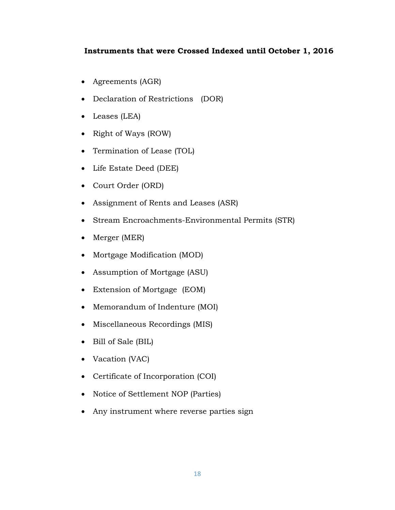### **Instruments that were Crossed Indexed until October 1, 2016**

- Agreements (AGR)
- Declaration of Restrictions (DOR)
- Leases (LEA)
- Right of Ways (ROW)
- Termination of Lease (TOL)
- Life Estate Deed (DEE)
- Court Order (ORD)
- Assignment of Rents and Leases (ASR)
- Stream Encroachments-Environmental Permits (STR)
- Merger (MER)
- Mortgage Modification (MOD)
- Assumption of Mortgage (ASU)
- Extension of Mortgage (EOM)
- Memorandum of Indenture (MOI)
- Miscellaneous Recordings (MIS)
- Bill of Sale (BIL)
- Vacation (VAC)
- Certificate of Incorporation (COI)
- Notice of Settlement NOP (Parties)
- Any instrument where reverse parties sign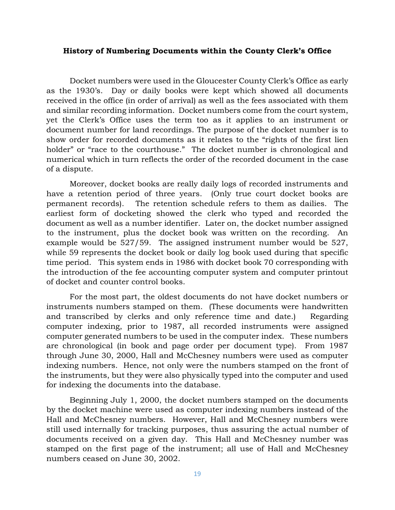#### **History of Numbering Documents within the County Clerk's Office**

Docket numbers were used in the Gloucester County Clerk's Office as early as the 1930's. Day or daily books were kept which showed all documents received in the office (in order of arrival) as well as the fees associated with them and similar recording information. Docket numbers come from the court system, yet the Clerk's Office uses the term too as it applies to an instrument or document number for land recordings. The purpose of the docket number is to show order for recorded documents as it relates to the "rights of the first lien holder" or "race to the courthouse." The docket number is chronological and numerical which in turn reflects the order of the recorded document in the case of a dispute.

Moreover, docket books are really daily logs of recorded instruments and have a retention period of three years. (Only true court docket books are permanent records). The retention schedule refers to them as dailies. The earliest form of docketing showed the clerk who typed and recorded the document as well as a number identifier. Later on, the docket number assigned to the instrument, plus the docket book was written on the recording. An example would be 527/59. The assigned instrument number would be 527, while 59 represents the docket book or daily log book used during that specific time period. This system ends in 1986 with docket book 70 corresponding with the introduction of the fee accounting computer system and computer printout of docket and counter control books.

For the most part, the oldest documents do not have docket numbers or instruments numbers stamped on them. (These documents were handwritten and transcribed by clerks and only reference time and date.) Regarding computer indexing, prior to 1987, all recorded instruments were assigned computer generated numbers to be used in the computer index. These numbers are chronological (in book and page order per document type). From 1987 through June 30, 2000, Hall and McChesney numbers were used as computer indexing numbers. Hence, not only were the numbers stamped on the front of the instruments, but they were also physically typed into the computer and used for indexing the documents into the database.

Beginning July 1, 2000, the docket numbers stamped on the documents by the docket machine were used as computer indexing numbers instead of the Hall and McChesney numbers. However, Hall and McChesney numbers were still used internally for tracking purposes, thus assuring the actual number of documents received on a given day. This Hall and McChesney number was stamped on the first page of the instrument; all use of Hall and McChesney numbers ceased on June 30, 2002.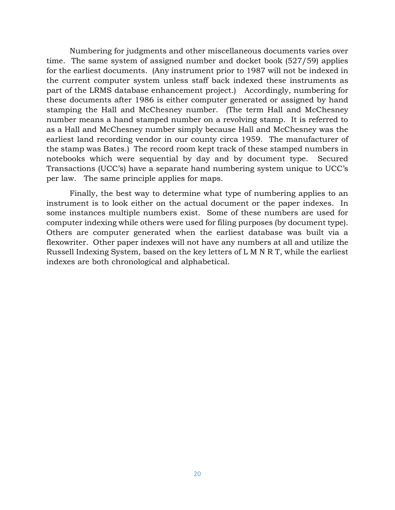Numbering for judgments and other miscellaneous documents varies over time. The same system of assigned number and docket book (527/59) applies for the earliest documents. (Any instrument prior to 1987 will not be indexed in the current computer system unless staff back indexed these instruments as part of the LRMS database enhancement project.) Accordingly, numbering for these documents after 1986 is either computer generated or assigned by hand stamping the Hall and McChesney number. (The term Hall and McChesney number means a hand stamped number on a revolving stamp. It is referred to as a Hall and McChesney number simply because Hall and McChesney was the earliest land recording vendor in our county circa 1959. The manufacturer of the stamp was Bates.) The record room kept track of these stamped numbers in notebooks which were sequential by day and by document type. Secured Transactions (UCC's) have a separate hand numbering system unique to UCC's per law. The same principle applies for maps.

Finally, the best way to determine what type of numbering applies to an instrument is to look either on the actual document or the paper indexes. In some instances multiple numbers exist. Some of these numbers are used for computer indexing while others were used for filing purposes (by document type). Others are computer generated when the earliest database was built via a flexowriter. Other paper indexes will not have any numbers at all and utilize the Russell Indexing System, based on the key letters of L M N R T, while the earliest indexes are both chronological and alphabetical.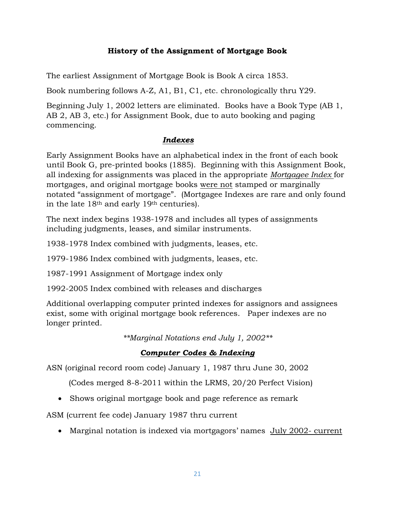## **History of the Assignment of Mortgage Book**

The earliest Assignment of Mortgage Book is Book A circa 1853.

Book numbering follows A-Z, A1, B1, C1, etc. chronologically thru Y29.

Beginning July 1, 2002 letters are eliminated. Books have a Book Type (AB 1, AB 2, AB 3, etc.) for Assignment Book, due to auto booking and paging commencing.

### *Indexes*

Early Assignment Books have an alphabetical index in the front of each book until Book G, pre-printed books (1885). Beginning with this Assignment Book, all indexing for assignments was placed in the appropriate *Mortgagee Index* for mortgages, and original mortgage books were not stamped or marginally notated "assignment of mortgage". (Mortgagee Indexes are rare and only found in the late 18th and early 19th centuries).

The next index begins 1938-1978 and includes all types of assignments including judgments, leases, and similar instruments.

1938-1978 Index combined with judgments, leases, etc.

1979-1986 Index combined with judgments, leases, etc.

1987-1991 Assignment of Mortgage index only

1992-2005 Index combined with releases and discharges

Additional overlapping computer printed indexes for assignors and assignees exist, some with original mortgage book references. Paper indexes are no longer printed.

*\*\*Marginal Notations end July 1, 2002\*\**

# *Computer Codes & Indexing*

ASN (original record room code) January 1, 1987 thru June 30, 2002

(Codes merged 8-8-2011 within the LRMS, 20/20 Perfect Vision)

• Shows original mortgage book and page reference as remark

ASM (current fee code) January 1987 thru current

• Marginal notation is indexed via mortgagors' names July 2002- current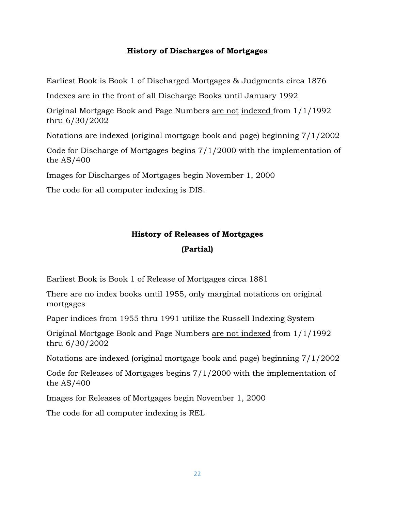### **History of Discharges of Mortgages**

Earliest Book is Book 1 of Discharged Mortgages & Judgments circa 1876

Indexes are in the front of all Discharge Books until January 1992

Original Mortgage Book and Page Numbers are not indexed from 1/1/1992 thru 6/30/2002

Notations are indexed (original mortgage book and page) beginning 7/1/2002

Code for Discharge of Mortgages begins 7/1/2000 with the implementation of the AS/400

Images for Discharges of Mortgages begin November 1, 2000

The code for all computer indexing is DIS.

# **History of Releases of Mortgages (Partial)**

Earliest Book is Book 1 of Release of Mortgages circa 1881

There are no index books until 1955, only marginal notations on original mortgages

Paper indices from 1955 thru 1991 utilize the Russell Indexing System

Original Mortgage Book and Page Numbers are not indexed from 1/1/1992 thru 6/30/2002

Notations are indexed (original mortgage book and page) beginning 7/1/2002

Code for Releases of Mortgages begins 7/1/2000 with the implementation of the AS/400

Images for Releases of Mortgages begin November 1, 2000

The code for all computer indexing is REL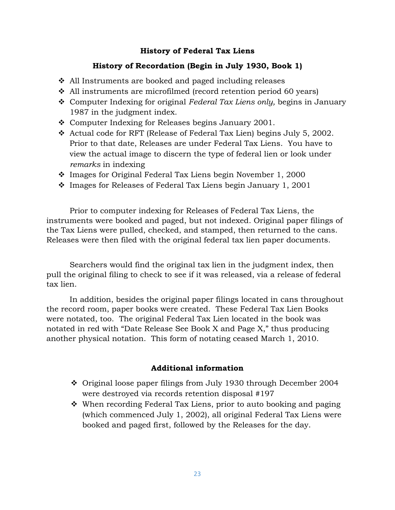### **History of Federal Tax Liens**

### **History of Recordation (Begin in July 1930, Book 1)**

- ❖ All Instruments are booked and paged including releases
- ❖ All instruments are microfilmed (record retention period 60 years)
- ❖ Computer Indexing for original *Federal Tax Liens only,* begins in January 1987 in the judgment index.
- ❖ Computer Indexing for Releases begins January 2001.
- ❖ Actual code for RFT (Release of Federal Tax Lien) begins July 5, 2002. Prior to that date, Releases are under Federal Tax Liens. You have to view the actual image to discern the type of federal lien or look under *remarks* in indexing
- ❖ Images for Original Federal Tax Liens begin November 1, 2000
- ❖ Images for Releases of Federal Tax Liens begin January 1, 2001

Prior to computer indexing for Releases of Federal Tax Liens, the instruments were booked and paged, but not indexed. Original paper filings of the Tax Liens were pulled, checked, and stamped, then returned to the cans. Releases were then filed with the original federal tax lien paper documents.

Searchers would find the original tax lien in the judgment index, then pull the original filing to check to see if it was released, via a release of federal tax lien.

In addition, besides the original paper filings located in cans throughout the record room, paper books were created. These Federal Tax Lien Books were notated, too. The original Federal Tax Lien located in the book was notated in red with "Date Release See Book X and Page X," thus producing another physical notation. This form of notating ceased March 1, 2010.

### **Additional information**

- ❖ Original loose paper filings from July 1930 through December 2004 were destroyed via records retention disposal #197
- ❖ When recording Federal Tax Liens, prior to auto booking and paging (which commenced July 1, 2002), all original Federal Tax Liens were booked and paged first, followed by the Releases for the day.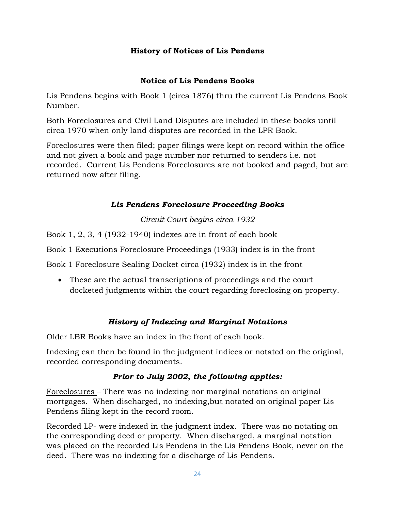## **History of Notices of Lis Pendens**

## **Notice of Lis Pendens Books**

Lis Pendens begins with Book 1 (circa 1876) thru the current Lis Pendens Book Number.

Both Foreclosures and Civil Land Disputes are included in these books until circa 1970 when only land disputes are recorded in the LPR Book.

Foreclosures were then filed; paper filings were kept on record within the office and not given a book and page number nor returned to senders i.e. not recorded. Current Lis Pendens Foreclosures are not booked and paged, but are returned now after filing.

## *Lis Pendens Foreclosure Proceeding Books*

*Circuit Court begins circa 1932*

Book 1, 2, 3, 4 (1932-1940) indexes are in front of each book

Book 1 Executions Foreclosure Proceedings (1933) index is in the front

Book 1 Foreclosure Sealing Docket circa (1932) index is in the front

• These are the actual transcriptions of proceedings and the court docketed judgments within the court regarding foreclosing on property.

# *History of Indexing and Marginal Notations*

Older LBR Books have an index in the front of each book.

Indexing can then be found in the judgment indices or notated on the original, recorded corresponding documents.

### *Prior to July 2002, the following applies:*

Foreclosures – There was no indexing nor marginal notations on original mortgages. When discharged, no indexing,but notated on original paper Lis Pendens filing kept in the record room.

Recorded LP- were indexed in the judgment index. There was no notating on the corresponding deed or property. When discharged, a marginal notation was placed on the recorded Lis Pendens in the Lis Pendens Book, never on the deed. There was no indexing for a discharge of Lis Pendens.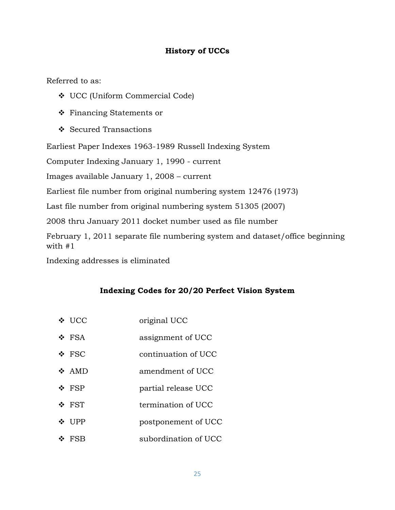## **History of UCCs**

Referred to as:

- ❖ UCC (Uniform Commercial Code)
- ❖ Financing Statements or
- ❖ Secured Transactions

Earliest Paper Indexes 1963-1989 Russell Indexing System

Computer Indexing January 1, 1990 - current

Images available January 1, 2008 – current

Earliest file number from original numbering system 12476 (1973)

Last file number from original numbering system 51305 (2007)

2008 thru January 2011 docket number used as file number

February 1, 2011 separate file numbering system and dataset/office beginning with #1

Indexing addresses is eliminated

# **Indexing Codes for 20/20 Perfect Vision System**

| ❖ UCC      | original UCC         |
|------------|----------------------|
| ❖ FSA      | assignment of UCC    |
| $\div$ FSC | continuation of UCC  |
| $\div$ AMD | amendment of UCC     |
| $\div$ FSP | partial release UCC  |
| ❖ FST      | termination of UCC   |
| ❖ UPP      | postponement of UCC  |
| ❖ FSB      | subordination of UCC |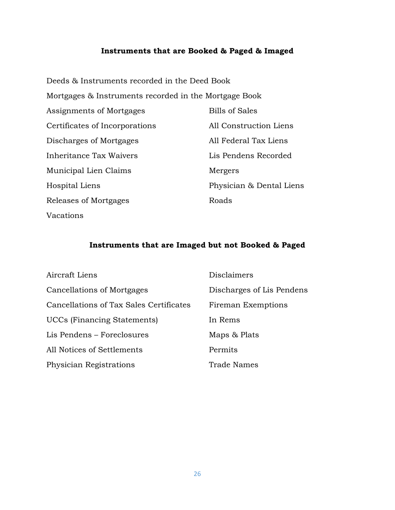### **Instruments that are Booked & Paged & Imaged**

Deeds & Instruments recorded in the Deed Book Mortgages & Instruments recorded in the Mortgage Book Assignments of Mortgages Bills of Sales Certificates of Incorporations All Construction Liens Discharges of Mortgages All Federal Tax Liens Inheritance Tax Waivers Lis Pendens Recorded Municipal Lien Claims Mergers Hospital Liens Physician & Dental Liens Releases of Mortgages Roads Vacations

### **Instruments that are Imaged but not Booked & Paged**

| Aircraft Liens                          | <b>Disclaimers</b>        |
|-----------------------------------------|---------------------------|
| Cancellations of Mortgages              | Discharges of Lis Pendens |
| Cancellations of Tax Sales Certificates | Fireman Exemptions        |
| <b>UCCs</b> (Financing Statements)      | In Rems                   |
| Lis Pendens – Foreclosures              | Maps & Plats              |
| All Notices of Settlements              | Permits                   |
| Physician Registrations                 | <b>Trade Names</b>        |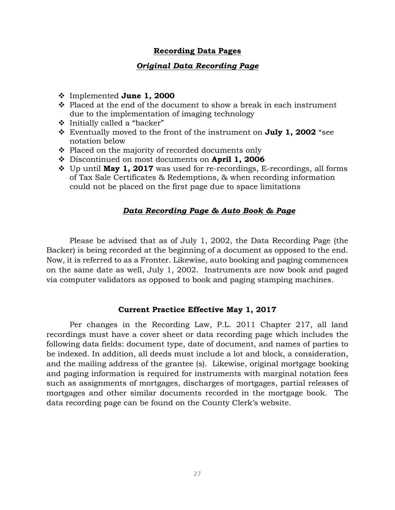### **Recording Data Pages**

### *Original Data Recording Page*

- ❖ Implemented **June 1, 2000**
- ❖ Placed at the end of the document to show a break in each instrument due to the implementation of imaging technology
- ❖ Initially called a "backer"
- ❖ Eventually moved to the front of the instrument on **July 1, 2002** \*see notation below
- ❖ Placed on the majority of recorded documents only
- ❖ Discontinued on most documents on **April 1, 2006**
- ❖ Up until **May 1, 2017** was used for re-recordings, E-recordings, all forms of Tax Sale Certificates & Redemptions, & when recording information could not be placed on the first page due to space limitations

### *Data Recording Page & Auto Book & Page*

Please be advised that as of July 1, 2002, the Data Recording Page (the Backer) is being recorded at the beginning of a document as opposed to the end. Now, it is referred to as a Fronter. Likewise, auto booking and paging commences on the same date as well, July 1, 2002. Instruments are now book and paged via computer validators as opposed to book and paging stamping machines.

#### **Current Practice Effective May 1, 2017**

Per changes in the Recording Law, P.L. 2011 Chapter 217, all land recordings must have a cover sheet or data recording page which includes the following data fields: document type, date of document, and names of parties to be indexed. In addition, all deeds must include a lot and block, a consideration, and the mailing address of the grantee (s). Likewise, original mortgage booking and paging information is required for instruments with marginal notation fees such as assignments of mortgages, discharges of mortgages, partial releases of mortgages and other similar documents recorded in the mortgage book. The data recording page can be found on the County Clerk's website.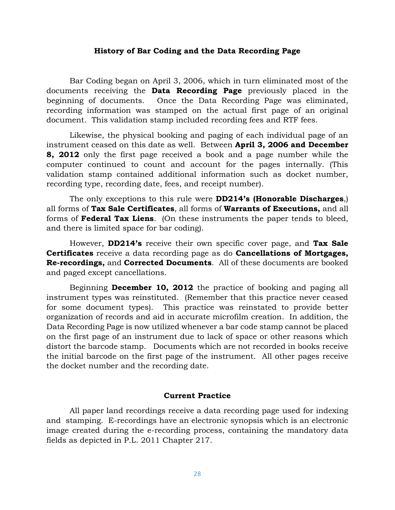#### **History of Bar Coding and the Data Recording Page**

Bar Coding began on April 3, 2006, which in turn eliminated most of the documents receiving the **Data Recording Page** previously placed in the beginning of documents. Once the Data Recording Page was eliminated, recording information was stamped on the actual first page of an original document. This validation stamp included recording fees and RTF fees.

Likewise, the physical booking and paging of each individual page of an instrument ceased on this date as well. Between **April 3, 2006 and December 8, 2012** only the first page received a book and a page number while the computer continued to count and account for the pages internally. (This validation stamp contained additional information such as docket number, recording type, recording date, fees, and receipt number).

The only exceptions to this rule were **DD214's (Honorable Discharges**,) all forms of **Tax Sale Certificates**, all forms of **Warrants of Executions,** and all forms of **Federal Tax Liens**. (On these instruments the paper tends to bleed, and there is limited space for bar coding).

However, **DD214's** receive their own specific cover page, and **Tax Sale Certificates** receive a data recording page as do **Cancellations of Mortgages, Re-recordings,** and **Corrected Documents**. All of these documents are booked and paged except cancellations.

Beginning **December 10, 2012** the practice of booking and paging all instrument types was reinstituted. (Remember that this practice never ceased for some document types). This practice was reinstated to provide better organization of records and aid in accurate microfilm creation. In addition, the Data Recording Page is now utilized whenever a bar code stamp cannot be placed on the first page of an instrument due to lack of space or other reasons which distort the barcode stamp. Documents which are not recorded in books receive the initial barcode on the first page of the instrument. All other pages receive the docket number and the recording date.

#### **Current Practice**

All paper land recordings receive a data recording page used for indexing and stamping. E-recordings have an electronic synopsis which is an electronic image created during the e-recording process, containing the mandatory data fields as depicted in P.L. 2011 Chapter 217.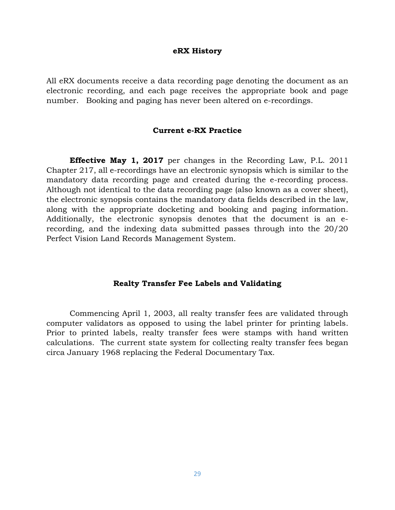#### **eRX History**

All eRX documents receive a data recording page denoting the document as an electronic recording, and each page receives the appropriate book and page number. Booking and paging has never been altered on e-recordings.

#### **Current e-RX Practice**

**Effective May 1, 2017** per changes in the Recording Law, P.L. 2011 Chapter 217, all e-recordings have an electronic synopsis which is similar to the mandatory data recording page and created during the e-recording process. Although not identical to the data recording page (also known as a cover sheet), the electronic synopsis contains the mandatory data fields described in the law, along with the appropriate docketing and booking and paging information. Additionally, the electronic synopsis denotes that the document is an erecording, and the indexing data submitted passes through into the 20/20 Perfect Vision Land Records Management System.

#### **Realty Transfer Fee Labels and Validating**

Commencing April 1, 2003, all realty transfer fees are validated through computer validators as opposed to using the label printer for printing labels. Prior to printed labels, realty transfer fees were stamps with hand written calculations. The current state system for collecting realty transfer fees began circa January 1968 replacing the Federal Documentary Tax.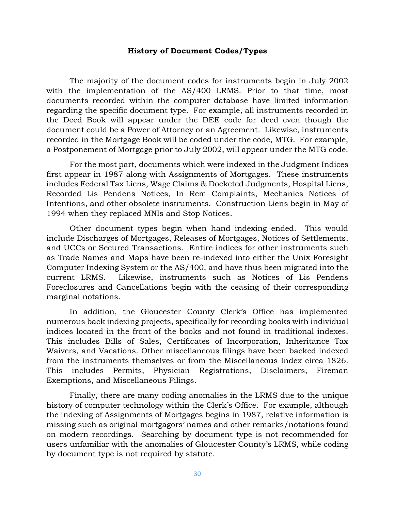#### **History of Document Codes/Types**

The majority of the document codes for instruments begin in July 2002 with the implementation of the AS/400 LRMS. Prior to that time, most documents recorded within the computer database have limited information regarding the specific document type. For example, all instruments recorded in the Deed Book will appear under the DEE code for deed even though the document could be a Power of Attorney or an Agreement. Likewise, instruments recorded in the Mortgage Book will be coded under the code, MTG. For example, a Postponement of Mortgage prior to July 2002, will appear under the MTG code.

For the most part, documents which were indexed in the Judgment Indices first appear in 1987 along with Assignments of Mortgages. These instruments includes Federal Tax Liens, Wage Claims & Docketed Judgments, Hospital Liens, Recorded Lis Pendens Notices, In Rem Complaints, Mechanics Notices of Intentions, and other obsolete instruments. Construction Liens begin in May of 1994 when they replaced MNIs and Stop Notices.

Other document types begin when hand indexing ended. This would include Discharges of Mortgages, Releases of Mortgages, Notices of Settlements, and UCCs or Secured Transactions. Entire indices for other instruments such as Trade Names and Maps have been re-indexed into either the Unix Foresight Computer Indexing System or the AS/400, and have thus been migrated into the current LRMS. Likewise, instruments such as Notices of Lis Pendens Foreclosures and Cancellations begin with the ceasing of their corresponding marginal notations.

In addition, the Gloucester County Clerk's Office has implemented numerous back indexing projects, specifically for recording books with individual indices located in the front of the books and not found in traditional indexes. This includes Bills of Sales, Certificates of Incorporation, Inheritance Tax Waivers, and Vacations. Other miscellaneous filings have been backed indexed from the instruments themselves or from the Miscellaneous Index circa 1826. This includes Permits, Physician Registrations, Disclaimers, Fireman Exemptions, and Miscellaneous Filings.

Finally, there are many coding anomalies in the LRMS due to the unique history of computer technology within the Clerk's Office. For example, although the indexing of Assignments of Mortgages begins in 1987, relative information is missing such as original mortgagors' names and other remarks/notations found on modern recordings. Searching by document type is not recommended for users unfamiliar with the anomalies of Gloucester County's LRMS, while coding by document type is not required by statute.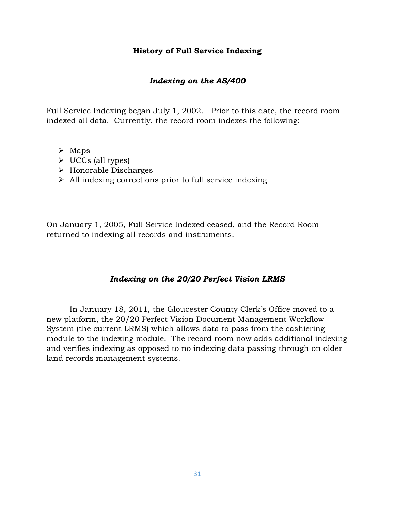### **History of Full Service Indexing**

### *Indexing on the AS/400*

Full Service Indexing began July 1, 2002. Prior to this date, the record room indexed all data. Currently, the record room indexes the following:

- ➢ Maps
- ➢ UCCs (all types)
- ➢ Honorable Discharges
- ➢ All indexing corrections prior to full service indexing

On January 1, 2005, Full Service Indexed ceased, and the Record Room returned to indexing all records and instruments.

### *Indexing on the 20/20 Perfect Vision LRMS*

In January 18, 2011, the Gloucester County Clerk's Office moved to a new platform, the 20/20 Perfect Vision Document Management Workflow System (the current LRMS) which allows data to pass from the cashiering module to the indexing module. The record room now adds additional indexing and verifies indexing as opposed to no indexing data passing through on older land records management systems.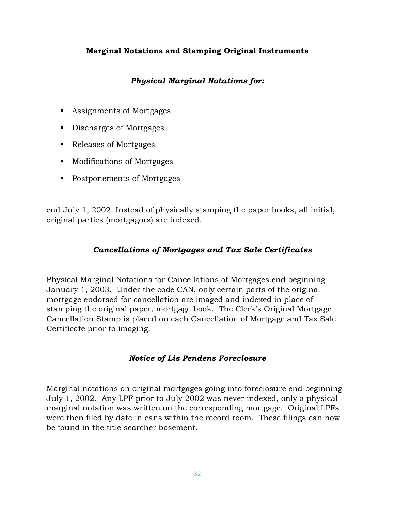### **Marginal Notations and Stamping Original Instruments**

### *Physical Marginal Notations for:*

- Assignments of Mortgages
- Discharges of Mortgages
- Releases of Mortgages
- Modifications of Mortgages
- Postponements of Mortgages

end July 1, 2002. Instead of physically stamping the paper books, all initial, original parties (mortgagors) are indexed.

### *Cancellations of Mortgages and Tax Sale Certificates*

Physical Marginal Notations for Cancellations of Mortgages end beginning January 1, 2003. Under the code CAN, only certain parts of the original mortgage endorsed for cancellation are imaged and indexed in place of stamping the original paper, mortgage book. The Clerk's Original Mortgage Cancellation Stamp is placed on each Cancellation of Mortgage and Tax Sale Certificate prior to imaging.

### *Notice of Lis Pendens Foreclosure*

Marginal notations on original mortgages going into foreclosure end beginning July 1, 2002. Any LPF prior to July 2002 was never indexed, only a physical marginal notation was written on the corresponding mortgage. Original LPFs were then filed by date in cans within the record room. These filings can now be found in the title searcher basement.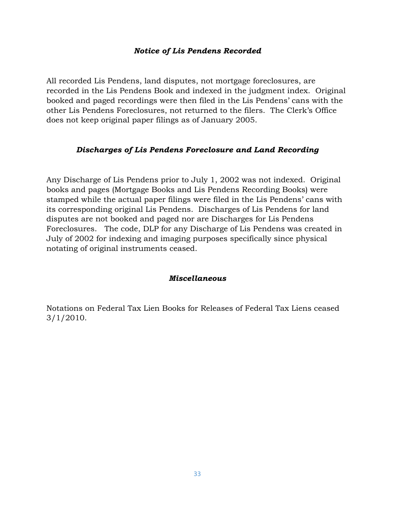### *Notice of Lis Pendens Recorded*

All recorded Lis Pendens, land disputes, not mortgage foreclosures, are recorded in the Lis Pendens Book and indexed in the judgment index. Original booked and paged recordings were then filed in the Lis Pendens' cans with the other Lis Pendens Foreclosures, not returned to the filers. The Clerk's Office does not keep original paper filings as of January 2005.

### *Discharges of Lis Pendens Foreclosure and Land Recording*

Any Discharge of Lis Pendens prior to July 1, 2002 was not indexed. Original books and pages (Mortgage Books and Lis Pendens Recording Books) were stamped while the actual paper filings were filed in the Lis Pendens' cans with its corresponding original Lis Pendens. Discharges of Lis Pendens for land disputes are not booked and paged nor are Discharges for Lis Pendens Foreclosures. The code, DLP for any Discharge of Lis Pendens was created in July of 2002 for indexing and imaging purposes specifically since physical notating of original instruments ceased.

#### *Miscellaneous*

Notations on Federal Tax Lien Books for Releases of Federal Tax Liens ceased 3/1/2010.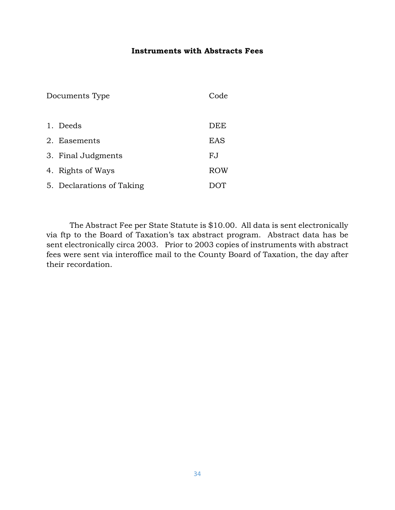### **Instruments with Abstracts Fees**

| Documents Type |                           | Code |
|----------------|---------------------------|------|
|                |                           |      |
|                | 1. Deeds                  | DEE  |
|                | 2. Easements              | EAS  |
|                | 3. Final Judgments        | F.J  |
|                | 4. Rights of Ways         | ROW  |
|                | 5. Declarations of Taking |      |

The Abstract Fee per State Statute is \$10.00. All data is sent electronically via ftp to the Board of Taxation's tax abstract program. Abstract data has be sent electronically circa 2003. Prior to 2003 copies of instruments with abstract fees were sent via interoffice mail to the County Board of Taxation, the day after their recordation.